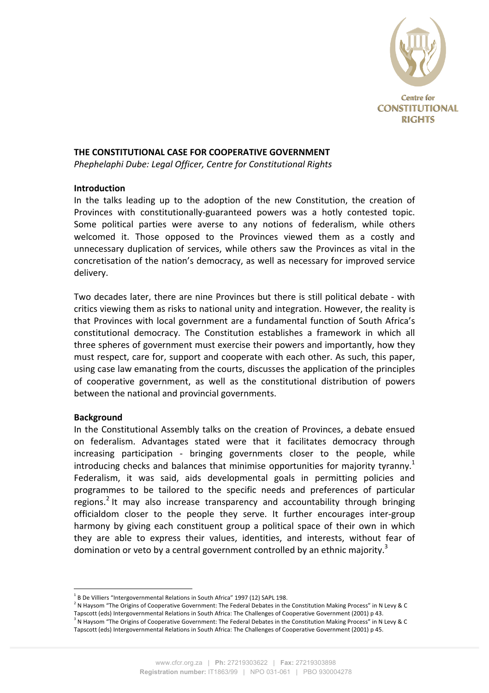

# **THE CONSTITUTIONAL CASE FOR COOPERATIVE GOVERNMENT**

*Phephelaphi Dube: Legal Officer, Centre for Constitutional Rights* 

## **Introduction**

In the talks leading up to the adoption of the new Constitution, the creation of Provinces with constitutionally-guaranteed powers was a hotly contested topic. Some political parties were averse to any notions of federalism, while others welcomed it. Those opposed to the Provinces viewed them as a costly and unnecessary duplication of services, while others saw the Provinces as vital in the concretisation of the nation's democracy, as well as necessary for improved service delivery.

Two decades later, there are nine Provinces but there is still political debate - with critics viewing them as risks to national unity and integration. However, the reality is that Provinces with local government are a fundamental function of South Africa's constitutional democracy. The Constitution establishes a framework in which all three spheres of government must exercise their powers and importantly, how they must respect, care for, support and cooperate with each other. As such, this paper, using case law emanating from the courts, discusses the application of the principles of cooperative government, as well as the constitutional distribution of powers between the national and provincial governments.

## **Background**

In the Constitutional Assembly talks on the creation of Provinces, a debate ensued on federalism. Advantages stated were that it facilitates democracy through increasing participation - bringing governments closer to the people, while introducing checks and balances that minimise opportunities for majority tyranny.<sup>1</sup> Federalism, it was said, aids developmental goals in permitting policies and programmes to be tailored to the specific needs and preferences of particular regions.<sup>2</sup> It may also increase transparency and accountability through bringing officialdom closer to the people they serve. It further encourages inter-group harmony by giving each constituent group a political space of their own in which they are able to express their values, identities, and interests, without fear of domination or veto by a central government controlled by an ethnic majority.<sup>3</sup>

 $1$  B De Villiers "Intergovernmental Relations in South Africa" 1997 (12) SAPL 198.

<sup>&</sup>lt;sup>2</sup> N Haysom "The Origins of Cooperative Government: The Federal Debates in the Constitution Making Process" in N Levy & C Tapscott (eds) Intergovernmental Relations in South Africa: The Challenges of Cooperative Government (2001) p 43.  $^3$  N Haysom "The Origins of Cooperative Government: The Federal Debates in the Constitution Making Process" in N Levy & C Tapscott (eds) Intergovernmental Relations in South Africa: The Challenges of Cooperative Government (2001) p 45.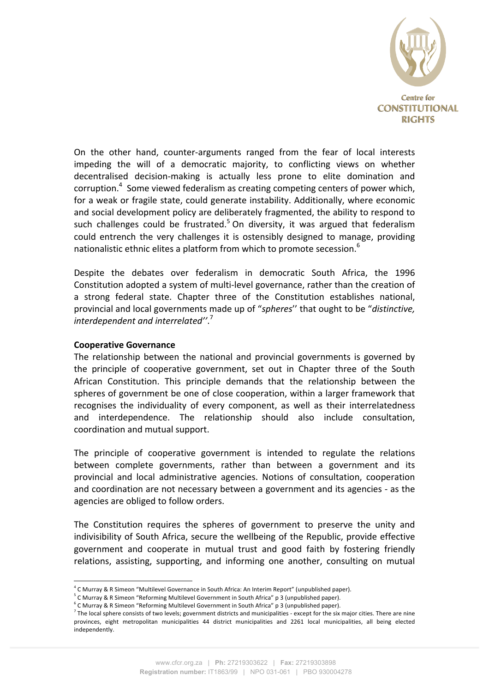

On the other hand, counter-arguments ranged from the fear of local interests impeding the will of a democratic majority, to conflicting views on whether decentralised decision-making is actually less prone to elite domination and corruption.<sup>4</sup> Some viewed federalism as creating competing centers of power which, for a weak or fragile state, could generate instability. Additionally, where economic and social development policy are deliberately fragmented, the ability to respond to such challenges could be frustrated.<sup>5</sup> On diversity, it was argued that federalism could entrench the very challenges it is ostensibly designed to manage, providing nationalistic ethnic elites a platform from which to promote secession.<sup>6</sup>

Despite the debates over federalism in democratic South Africa, the 1996 Constitution adopted a system of multi-level governance, rather than the creation of a strong federal state. Chapter three of the Constitution establishes national, provincial and local governments made up of "spheres" that ought to be "distinctive,  $\emph{interdependent}$  and interrelated''.<sup>7</sup>

#### **Cooperative Governance**

The relationship between the national and provincial governments is governed by the principle of cooperative government, set out in Chapter three of the South African Constitution. This principle demands that the relationship between the spheres of government be one of close cooperation, within a larger framework that recognises the individuality of every component, as well as their interrelatedness and interdependence. The relationship should also include consultation, coordination and mutual support.

The principle of cooperative government is intended to regulate the relations between complete governments, rather than between a government and its provincial and local administrative agencies. Notions of consultation, cooperation and coordination are not necessary between a government and its agencies - as the agencies are obliged to follow orders.

The Constitution requires the spheres of government to preserve the unity and indivisibility of South Africa, secure the wellbeing of the Republic, provide effective government and cooperate in mutual trust and good faith by fostering friendly relations, assisting, supporting, and informing one another, consulting on mutual

<sup>&</sup>lt;sup>4</sup> C Murray & R Simeon "Multilevel Governance in South Africa: An Interim Report" (unpublished paper).

 $5$  C Murray & R Simeon "Reforming Multilevel Government in South Africa" p 3 (unpublished paper).

<sup>&</sup>lt;sup>i</sup> C Murray & R Simeon "Reforming Multilevel Government in South Africa" p 3 (unpublished paper).

 $^7$  The local sphere consists of two levels; government districts and municipalities - except for the six major cities. There are nine provinces, eight metropolitan municipalities 44 district municipalities and 2261 local municipalities, all being elected independently.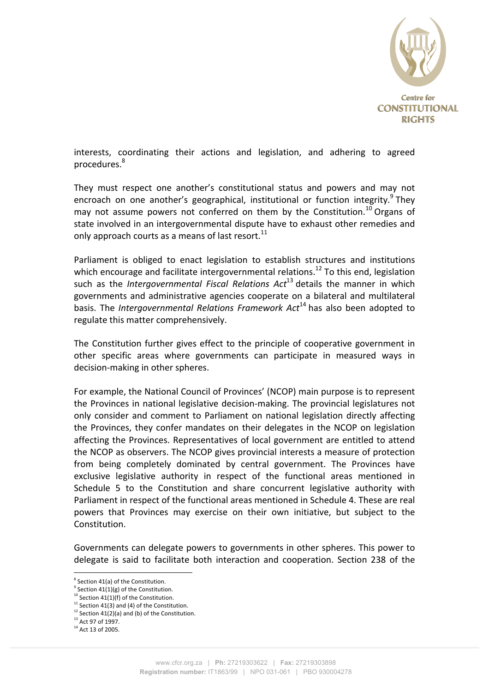

interests, coordinating their actions and legislation, and adhering to agreed procedures.8

They must respect one another's constitutional status and powers and may not encroach on one another's geographical, institutional or function integrity.<sup>9</sup> They may not assume powers not conferred on them by the Constitution.<sup>10</sup> Organs of state involved in an intergovernmental dispute have to exhaust other remedies and only approach courts as a means of last resort.<sup>11</sup>

Parliament is obliged to enact legislation to establish structures and institutions which encourage and facilitate intergovernmental relations.<sup>12</sup> To this end, legislation such as the *Intergovernmental Fiscal Relations Act*<sup>13</sup> details the manner in which governments and administrative agencies cooperate on a bilateral and multilateral basis. The *Intergovernmental Relations Framework Act*<sup>14</sup> has also been adopted to regulate this matter comprehensively.

The Constitution further gives effect to the principle of cooperative government in other specific areas where governments can participate in measured ways in decision-making in other spheres.

For example, the National Council of Provinces' (NCOP) main purpose is to represent the Provinces in national legislative decision-making. The provincial legislatures not only consider and comment to Parliament on national legislation directly affecting the Provinces, they confer mandates on their delegates in the NCOP on legislation affecting the Provinces. Representatives of local government are entitled to attend the NCOP as observers. The NCOP gives provincial interests a measure of protection from being completely dominated by central government. The Provinces have exclusive legislative authority in respect of the functional areas mentioned in Schedule 5 to the Constitution and share concurrent legislative authority with Parliament in respect of the functional areas mentioned in Schedule 4. These are real powers that Provinces may exercise on their own initiative, but subject to the Constitution.

Governments can delegate powers to governments in other spheres. This power to delegate is said to facilitate both interaction and cooperation. Section 238 of the

 $8$  Section 41(a) of the Constitution.

 $9$  Section  $41(1)(g)$  of the Constitution.

 $10$  Section 41(1)(f) of the Constitution.

<sup>&</sup>lt;sup>11</sup> Section 41(3) and (4) of the Constitution.

 $12$  Section 41(2)(a) and (b) of the Constitution.

 $^{13}$  Act 97 of 1997.

 $14$  Act 13 of 2005.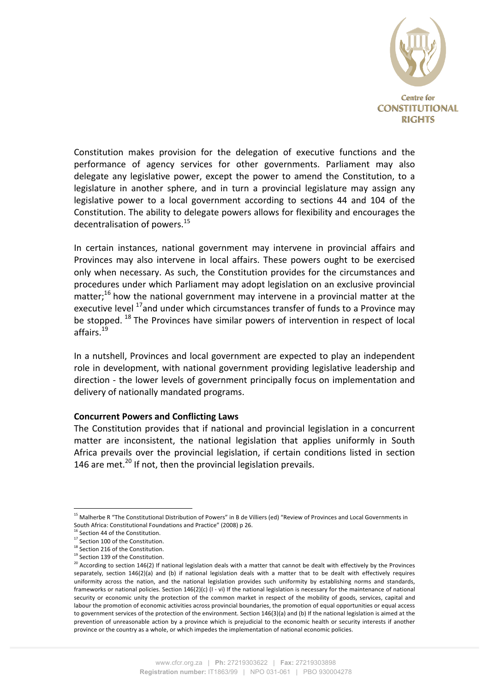

Constitution makes provision for the delegation of executive functions and the performance of agency services for other governments. Parliament may also delegate any legislative power, except the power to amend the Constitution, to a legislature in another sphere, and in turn a provincial legislature may assign any legislative power to a local government according to sections 44 and 104 of the Constitution. The ability to delegate powers allows for flexibility and encourages the decentralisation of powers. $^{15}$ 

In certain instances, national government may intervene in provincial affairs and Provinces may also intervene in local affairs. These powers ought to be exercised only when necessary. As such, the Constitution provides for the circumstances and procedures under which Parliament may adopt legislation on an exclusive provincial matter;<sup>16</sup> how the national government may intervene in a provincial matter at the executive level  $^{17}$ and under which circumstances transfer of funds to a Province may be stopped.  $^{18}$  The Provinces have similar powers of intervention in respect of local affairs.<sup>19</sup>

In a nutshell, Provinces and local government are expected to play an independent role in development, with national government providing legislative leadership and direction - the lower levels of government principally focus on implementation and delivery of nationally mandated programs.

#### **Concurrent Powers and Conflicting Laws**

The Constitution provides that if national and provincial legislation in a concurrent matter are inconsistent, the national legislation that applies uniformly in South Africa prevails over the provincial legislation, if certain conditions listed in section 146 are met.<sup>20</sup> If not, then the provincial legislation prevails.

<sup>&</sup>lt;sup>15</sup> Malherbe R "The Constitutional Distribution of Powers" in B de Villiers (ed) "Review of Provinces and Local Governments in South Africa: Constitutional Foundations and Practice" (2008) p 26.

 $^5$  Section 44 of the Constitution.

<sup>&</sup>lt;sup>17</sup> Section 100 of the Constitution.

 $18$  Section 216 of the Constitution. <sup>19</sup> Section 139 of the Constitution.

 $20$  According to section 146(2) If national legislation deals with a matter that cannot be dealt with effectively by the Provinces separately, section 146(2)(a) and (b) if national legislation deals with a matter that to be dealt with effectively requires uniformity across the nation, and the national legislation provides such uniformity by establishing norms and standards, frameworks or national policies. Section  $146(2)(c)$  (I - vi) If the national legislation is necessary for the maintenance of national security or economic unity the protection of the common market in respect of the mobility of goods, services, capital and labour the promotion of economic activities across provincial boundaries, the promotion of equal opportunities or equal access to government services of the protection of the environment. Section 146(3)(a) and (b) If the national legislation is aimed at the prevention of unreasonable action by a province which is prejudicial to the economic health or security interests if another province or the country as a whole, or which impedes the implementation of national economic policies.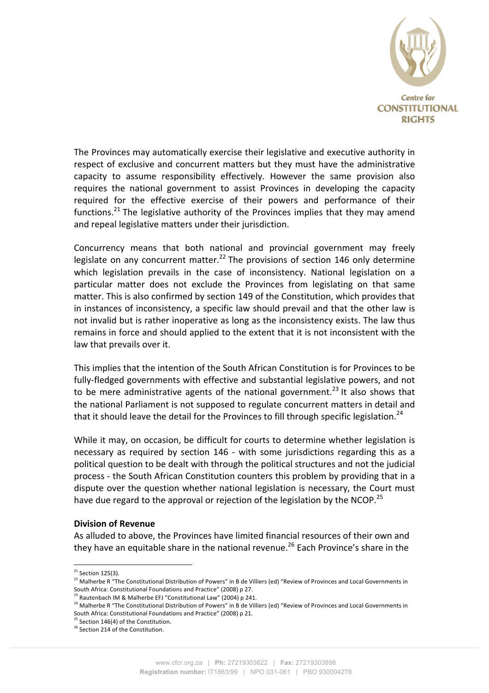

The Provinces may automatically exercise their legislative and executive authority in respect of exclusive and concurrent matters but they must have the administrative capacity to assume responsibility effectively. However the same provision also requires the national government to assist Provinces in developing the capacity required for the effective exercise of their powers and performance of their functions.<sup>21</sup> The legislative authority of the Provinces implies that they may amend and repeal legislative matters under their jurisdiction.

Concurrency means that both national and provincial government may freely legislate on any concurrent matter.<sup>22</sup> The provisions of section 146 only determine which legislation prevails in the case of inconsistency. National legislation on a particular matter does not exclude the Provinces from legislating on that same matter. This is also confirmed by section 149 of the Constitution, which provides that in instances of inconsistency, a specific law should prevail and that the other law is not invalid but is rather inoperative as long as the inconsistency exists. The law thus remains in force and should applied to the extent that it is not inconsistent with the law that prevails over it.

This implies that the intention of the South African Constitution is for Provinces to be fully-fledged governments with effective and substantial legislative powers, and not to be mere administrative agents of the national government.<sup>23</sup> It also shows that the national Parliament is not supposed to regulate concurrent matters in detail and that it should leave the detail for the Provinces to fill through specific legislation.<sup>24</sup>

While it may, on occasion, be difficult for courts to determine whether legislation is necessary as required by section 146 - with some jurisdictions regarding this as a political question to be dealt with through the political structures and not the judicial process - the South African Constitution counters this problem by providing that in a dispute over the question whether national legislation is necessary, the Court must have due regard to the approval or rejection of the legislation by the NCOP.<sup>25</sup>

#### **Division of Revenue**

As alluded to above, the Provinces have limited financial resources of their own and they have an equitable share in the national revenue.<sup>26</sup> Each Province's share in the

 $21$  Section 125(3).

<sup>22</sup> Malherbe R "The Constitutional Distribution of Powers" in B de Villiers (ed) "Review of Provinces and Local Governments in South Africa: Constitutional Foundations and Practice" (2008) p 27.

 $^3$  Rautenbach IM & Malherbe EFJ "Constitutional Law" (2004) p 241.

 $24$  Malherbe R "The Constitutional Distribution of Powers" in B de Villiers (ed) "Review of Provinces and Local Governments in South Africa: Constitutional Foundations and Practice" (2008) p 21.

 $^{25}$  Section 146(4) of the Constitution.

 $26$  Section 214 of the Constitution.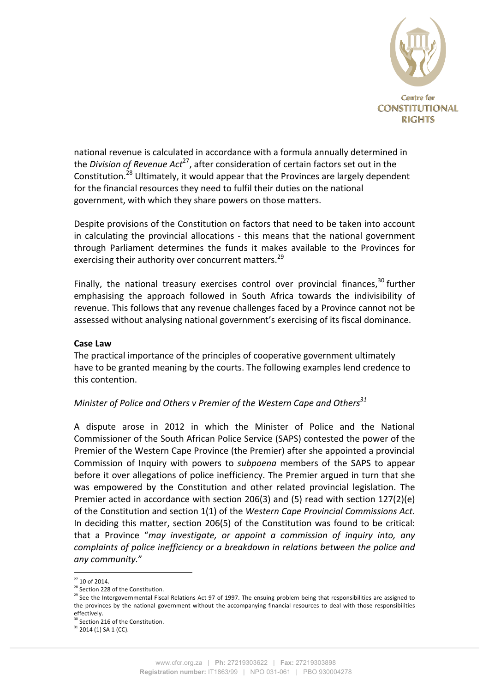

national revenue is calculated in accordance with a formula annually determined in the *Division of Revenue Act<sup>27</sup>*, after consideration of certain factors set out in the Constitution.<sup>28</sup> Ultimately, it would appear that the Provinces are largely dependent for the financial resources they need to fulfil their duties on the national government, with which they share powers on those matters.

Despite provisions of the Constitution on factors that need to be taken into account in calculating the provincial allocations - this means that the national government through Parliament determines the funds it makes available to the Provinces for exercising their authority over concurrent matters.<sup>29</sup>

Finally, the national treasury exercises control over provincial finances, $30$  further emphasising the approach followed in South Africa towards the indivisibility of revenue. This follows that any revenue challenges faced by a Province cannot not be assessed without analysing national government's exercising of its fiscal dominance.

#### **Case Law**

The practical importance of the principles of cooperative government ultimately have to be granted meaning by the courts. The following examples lend credence to this contention.

## *Minister of Police and Others v Premier of the Western Cape and Others*<sup>31</sup>

A dispute arose in 2012 in which the Minister of Police and the National Commissioner of the South African Police Service (SAPS) contested the power of the Premier of the Western Cape Province (the Premier) after she appointed a provincial Commission of Inquiry with powers to *subpoena* members of the SAPS to appear before it over allegations of police inefficiency. The Premier argued in turn that she was empowered by the Constitution and other related provincial legislation. The Premier acted in accordance with section 206(3) and (5) read with section  $127(2)(e)$ of the Constitution and section 1(1) of the *Western Cape Provincial Commissions Act*. In deciding this matter, section 206(5) of the Constitution was found to be critical: that a Province "may investigate, or appoint a commission of inquiry into, any *complaints of police inefficiency or a breakdown in relations between the police and* any community."

 $27$  10 of 2014.

<sup>&</sup>lt;sup>28</sup> Section 228 of the Constitution.

 $^{29}$  See the Intergovernmental Fiscal Relations Act 97 of 1997. The ensuing problem being that responsibilities are assigned to the provinces by the national government without the accompanying financial resources to deal with those responsibilities effectively.

<sup>&</sup>lt;sup>30</sup> Section 216 of the Constitution.

 $31$  2014 (1) SA 1 (CC).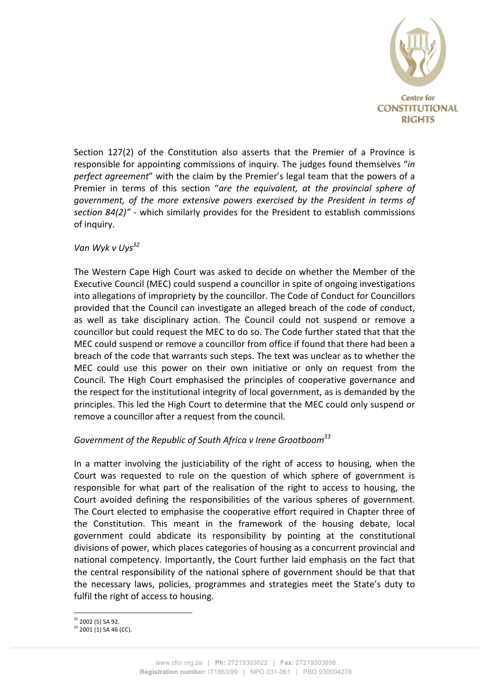

Section  $127(2)$  of the Constitution also asserts that the Premier of a Province is responsible for appointing commissions of inquiry. The judges found themselves "*in perfect gareement*" with the claim by the Premier's legal team that the powers of a Premier in terms of this section "are the equivalent, at the provincial sphere of government, of the more extensive powers exercised by the President in terms of *section 84(2)"* - which similarly provides for the President to establish commissions of inquiry.

# Van Wyk v Uys<sup>32</sup>

The Western Cape High Court was asked to decide on whether the Member of the Executive Council (MEC) could suspend a councillor in spite of ongoing investigations into allegations of impropriety by the councillor. The Code of Conduct for Councillors provided that the Council can investigate an alleged breach of the code of conduct, as well as take disciplinary action. The Council could not suspend or remove a councillor but could request the MEC to do so. The Code further stated that that the MEC could suspend or remove a councillor from office if found that there had been a breach of the code that warrants such steps. The text was unclear as to whether the MEC could use this power on their own initiative or only on request from the Council. The High Court emphasised the principles of cooperative governance and the respect for the institutional integrity of local government, as is demanded by the principles. This led the High Court to determine that the MEC could only suspend or remove a councillor after a request from the council.

# Government of the Republic of South Africa v Irene Grootboom<sup>33</sup>

In a matter involving the justiciability of the right of access to housing, when the Court was requested to rule on the question of which sphere of government is responsible for what part of the realisation of the right to access to housing, the Court avoided defining the responsibilities of the various spheres of government. The Court elected to emphasise the cooperative effort required in Chapter three of the Constitution. This meant in the framework of the housing debate, local government could abdicate its responsibility by pointing at the constitutional divisions of power, which places categories of housing as a concurrent provincial and national competency. Importantly, the Court further laid emphasis on the fact that the central responsibility of the national sphere of government should be that that the necessary laws, policies, programmes and strategies meet the State's duty to fulfil the right of access to housing.

<sup>!!!!!!!!!!!!!!!!!!!!!!!!!!!!!!!!!!!!!!!!!!!!!!!!!!!!!!!</sup>  $32$  2002 (5) SA 92.

 $33$  2001 (1) SA 46 (CC).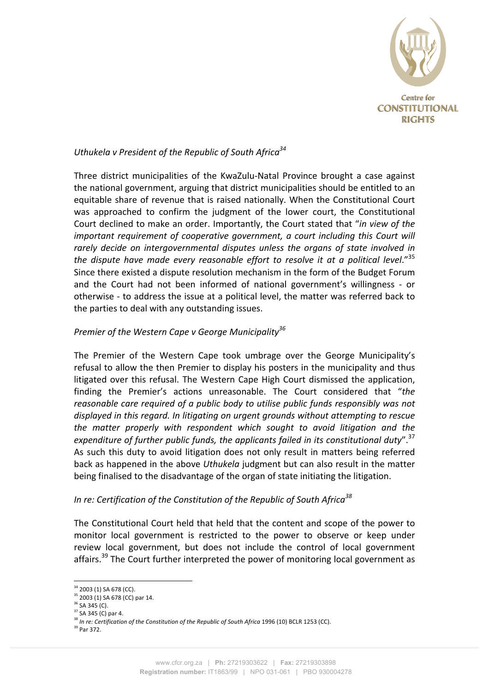

# *Uthukela v President of the Republic of South Africa*<sup>34</sup>

Three district municipalities of the KwaZulu-Natal Province brought a case against the national government, arguing that district municipalities should be entitled to an equitable share of revenue that is raised nationally. When the Constitutional Court was approached to confirm the judgment of the lower court, the Constitutional Court declined to make an order. Importantly, the Court stated that "*in view of the important requirement of cooperative government, a court including this Court will* rarely decide on intergovernmental disputes unless the organs of state involved in the dispute have made every reasonable effort to resolve it at a political level."<sup>35</sup> Since there existed a dispute resolution mechanism in the form of the Budget Forum and the Court had not been informed of national government's willingness - or otherwise - to address the issue at a political level, the matter was referred back to the parties to deal with any outstanding issues.

## *Premier of the Western Cape v George Municipality*<sup>36</sup>

The Premier of the Western Cape took umbrage over the George Municipality's refusal to allow the then Premier to display his posters in the municipality and thus litigated over this refusal. The Western Cape High Court dismissed the application, finding the Premier's actions unreasonable. The Court considered that "*the reasonable care required of a public body to utilise public funds responsibly was not*  $di$ splayed in this regard. In litigating on urgent grounds without attempting to rescue the matter properly with respondent which sought to avoid litigation and the *expenditure of further public funds, the applicants failed in its constitutional duty*".<sup>37</sup> As such this duty to avoid litigation does not only result in matters being referred back as happened in the above *Uthukela* judgment but can also result in the matter being finalised to the disadvantage of the organ of state initiating the litigation.

## *In re: Certification of the Constitution of the Republic of South Africa*<sup>38</sup>

The Constitutional Court held that held that the content and scope of the power to monitor local government is restricted to the power to observe or keep under review local government, but does not include the control of local government affairs.<sup>39</sup> The Court further interpreted the power of monitoring local government as

<sup>34 2003 (1)</sup> SA 678 (CC).

 $35$  2003 (1) SA 678 (CC) par 14.

 $36$  SA 345 (C).

 $37$  SA 345 (C) par 4.

<sup>&</sup>lt;sup>38</sup> In re: Certification of the Constitution of the Republic of South Africa 1996 (10) BCLR 1253 (CC).

<sup>&</sup>lt;sup>39</sup> Par 372.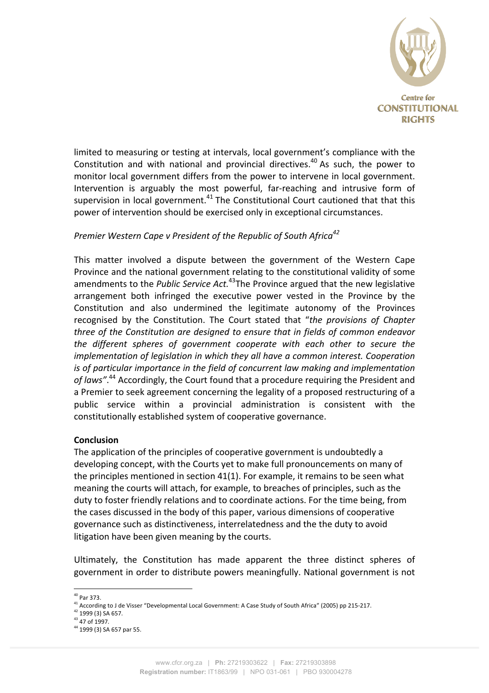

limited to measuring or testing at intervals, local government's compliance with the Constitution and with national and provincial directives.<sup>40</sup> As such, the power to monitor local government differs from the power to intervene in local government. Intervention is arguably the most powerful, far-reaching and intrusive form of supervision in local government. $41$  The Constitutional Court cautioned that that this power of intervention should be exercised only in exceptional circumstances.

# *Premier Western Cape v President of the Republic of South Africa<sup>42</sup>*

This matter involved a dispute between the government of the Western Cape Province and the national government relating to the constitutional validity of some amendments to the *Public Service Act.*<sup>43</sup>The Province argued that the new legislative arrangement both infringed the executive power vested in the Province by the Constitution and also undermined the legitimate autonomy of the Provinces recognised by the Constitution. The Court stated that "*the provisions of Chapter* three of the Constitution are designed to ensure that in fields of common endeavor *the different spheres of government cooperate with each other to secure the implementation of legislation in which they all have a common interest. Cooperation is of particular importance in the field of concurrent law making and implementation* of laws".<sup>44</sup> Accordingly, the Court found that a procedure requiring the President and a Premier to seek agreement concerning the legality of a proposed restructuring of a public service within a provincial administration is consistent with the constitutionally established system of cooperative governance.

#### **Conclusion**

The application of the principles of cooperative government is undoubtedly a developing concept, with the Courts yet to make full pronouncements on many of the principles mentioned in section  $41(1)$ . For example, it remains to be seen what meaning the courts will attach, for example, to breaches of principles, such as the duty to foster friendly relations and to coordinate actions. For the time being, from the cases discussed in the body of this paper, various dimensions of cooperative governance such as distinctiveness, interrelatedness and the the duty to avoid litigation have been given meaning by the courts.

Ultimately, the Constitution has made apparent the three distinct spheres of government in order to distribute powers meaningfully. National government is not

<sup>&</sup>lt;sup>40</sup> Par 373.

<sup>41</sup> According to J de Visser "Developmental Local Government: A Case Study of South Africa" (2005) pp 215-217.

 $42$  1999 (3) SA 657.

 $43$  47 of 1997.

<sup>&</sup>lt;sup>44</sup> 1999 (3) SA 657 par 55.